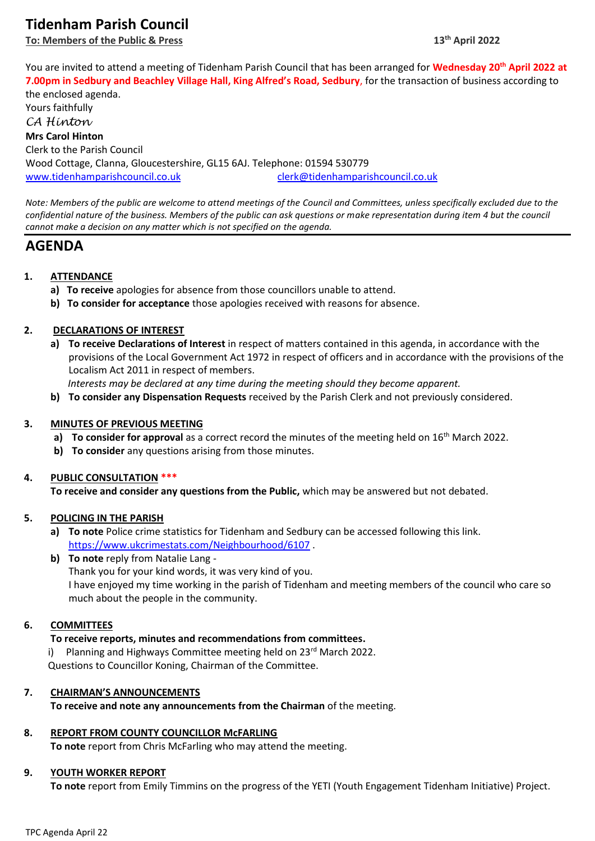# **Tidenham Parish Council**

**To: Members of the Public & Press 13th April 2022**

You are invited to attend a meeting of Tidenham Parish Council that has been arranged for **Wednesday 20th April 2022 at 7.00pm in Sedbury and Beachley Village Hall, King Alfred's Road, Sedbury**, for the transaction of business according to

the enclosed agenda. Yours faithfully *CA Hinton* **Mrs Carol Hinton** Clerk to the Parish Council Wood Cottage, Clanna, Gloucestershire, GL15 6AJ. Telephone: 01594 530779 [www.tidenhamparishcouncil.co.uk](http://www.tidenhamparishcouncil.co.uk/) [clerk@tidenhamparishcouncil.co.uk](mailto:clerk@tidenhamparishcouncil.co.uk)

*Note: Members of the public are welcome to attend meetings of the Council and Committees, unless specifically excluded due to the confidential nature of the business. Members of the public can ask questions or make representation during item 4 but the council cannot make a decision on any matter which is not specified on the agenda.*

## **AGENDA**

## **1. ATTENDANCE**

- **a) To receive** apologies for absence from those councillors unable to attend.
- **b) To consider for acceptance** those apologies received with reasons for absence.

#### **2. DECLARATIONS OF INTEREST**

**a) To receive Declarations of Interest** in respect of matters contained in this agenda, in accordance with the provisions of the Local Government Act 1972 in respect of officers and in accordance with the provisions of the Localism Act 2011 in respect of members.

 *Interests may be declared at any time during the meeting should they become apparent.*

**b) To consider any Dispensation Requests** received by the Parish Clerk and not previously considered.

#### **3. MINUTES OF PREVIOUS MEETING**

- **a) To consider for approval** as a correct record the minutes of the meeting held on 16<sup>th</sup> March 2022.
- **b) To consider** any questions arising from those minutes.

#### **4. PUBLIC CONSULTATION \*\*\***

**To receive and consider any questions from the Public,** which may be answered but not debated.

#### **5. POLICING IN THE PARISH**

- **a) To note** Police crime statistics for Tidenham and Sedbury can be accessed following this link. <https://www.ukcrimestats.com/Neighbourhood/6107> .
- **b) To note** reply from Natalie Lang Thank you for your kind words, it was very kind of you. I have enjoyed my time working in the parish of Tidenham and meeting members of the council who care so much about the people in the community.

#### **6. COMMITTEES**

#### **To receive reports, minutes and recommendations from committees.**

Planning and Highways Committee meeting held on 23<sup>rd</sup> March 2022. Questions to Councillor Koning, Chairman of the Committee.

#### **7. CHAIRMAN'S ANNOUNCEMENTS**

**To receive and note any announcements from the Chairman** of the meeting.

## **8. REPORT FROM COUNTY COUNCILLOR McFARLING**

**To note** report from Chris McFarling who may attend the meeting.

## **9. YOUTH WORKER REPORT**

**To note** report from Emily Timmins on the progress of the YETI (Youth Engagement Tidenham Initiative) Project.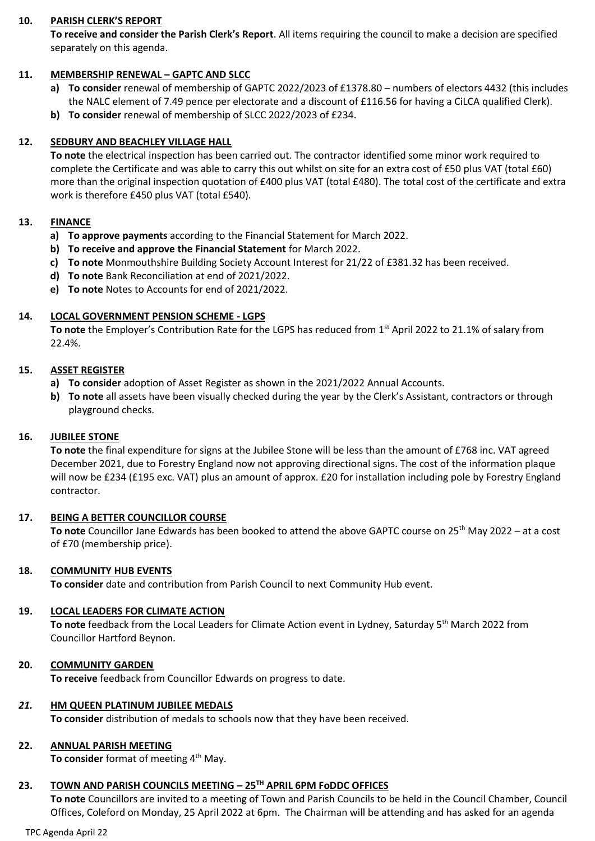#### **10. PARISH CLERK'S REPORT**

**To receive and consider the Parish Clerk's Report**. All items requiring the council to make a decision are specified separately on this agenda.

#### **11. MEMBERSHIP RENEWAL – GAPTC AND SLCC**

- **a) To consider** renewal of membership of GAPTC 2022/2023 of £1378.80 numbers of electors 4432 (this includes the NALC element of 7.49 pence per electorate and a discount of £116.56 for having a CiLCA qualified Clerk).
- **b) To consider** renewal of membership of SLCC 2022/2023 of £234.

#### **12. SEDBURY AND BEACHLEY VILLAGE HALL**

**To note** the electrical inspection has been carried out. The contractor identified some minor work required to complete the Certificate and was able to carry this out whilst on site for an extra cost of £50 plus VAT (total £60) more than the original inspection quotation of £400 plus VAT (total £480). The total cost of the certificate and extra work is therefore £450 plus VAT (total £540).

#### **13. FINANCE**

- **a) To approve payments** according to the Financial Statement for March 2022.
- **b) To receive and approve the Financial Statement** for March 2022.
- **c) To note** Monmouthshire Building Society Account Interest for 21/22 of £381.32 has been received.
- **d) To note** Bank Reconciliation at end of 2021/2022.
- **e) To note** Notes to Accounts for end of 2021/2022.

#### **14. LOCAL GOVERNMENT PENSION SCHEME - LGPS**

**To note** the Employer's Contribution Rate for the LGPS has reduced from 1st April 2022 to 21.1% of salary from 22.4%.

#### **15. ASSET REGISTER**

- **a) To consider** adoption of Asset Register as shown in the 2021/2022 Annual Accounts.
- **b) To note** all assets have been visually checked during the year by the Clerk's Assistant, contractors or through playground checks.

#### **16. JUBILEE STONE**

**To note** the final expenditure for signs at the Jubilee Stone will be less than the amount of £768 inc. VAT agreed December 2021, due to Forestry England now not approving directional signs. The cost of the information plaque will now be £234 (£195 exc. VAT) plus an amount of approx. £20 for installation including pole by Forestry England contractor.

#### **17. BEING A BETTER COUNCILLOR COURSE**

**To note** Councillor Jane Edwards has been booked to attend the above GAPTC course on 25th May 2022 – at a cost of £70 (membership price).

#### **18. COMMUNITY HUB EVENTS**

**To consider** date and contribution from Parish Council to next Community Hub event.

#### **19. LOCAL LEADERS FOR CLIMATE ACTION**

To note feedback from the Local Leaders for Climate Action event in Lydney, Saturday 5<sup>th</sup> March 2022 from Councillor Hartford Beynon.

#### **20. COMMUNITY GARDEN**

**To receive** feedback from Councillor Edwards on progress to date.

#### *21.* **HM QUEEN PLATINUM JUBILEE MEDALS**

**To consider** distribution of medals to schools now that they have been received.

#### **22. ANNUAL PARISH MEETING**

To consider format of meeting 4<sup>th</sup> May.

#### **23. TOWN AND PARISH COUNCILS MEETING – 25TH APRIL 6PM FoDDC OFFICES**

**To note** Councillors are invited to a meeting of Town and Parish Councils to be held in the Council Chamber, Council Offices, Coleford on Monday, 25 April 2022 at 6pm. The Chairman will be attending and has asked for an agenda

TPC Agenda April 22